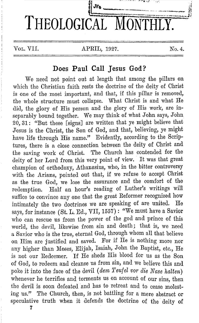

# **Does Paul Call Jesus God?**

We need not point out at length that among the pillars on which the Christian faith rests the doctrine of the deity of Christ is one of the most important, and that, if this pillar is removed. the whole structure must collapse. What Christ is and what He did, the glory of His person and the glory of His work, are inseparably bound together. We may think of what John says, John 20, 31: "But these [signs] are written that ye might believe that Jesus is the Christ, the Son of God, and that, believing, ye might have life through His name." Evidently, according to the Scriptures, there is a close connection between the deity of Christ and the saving work of Christ. The Church has contended for the deity of her Lord from this very point of view. It was that great champion of orthodoxy, Athanasius, who, in the bitter controversy with the Arians, pointed out that, if we refuse to accept Christ as the true God, we lose the assurance and the comfort of the redemption. Half an hour's reading of Luther's writings will suffice to convince any one that the great Reformer recognized how intimately the two doctrines we are speaking of are united. He says, for instance (St. L. Ed., VII, 1557): "We must have a Savior who can rescue us from the power of the god and prince of this world, the devil, likewise from sin and death; that is, we need a Savior who is the true, eternal God, through whom all that believe on Him are justified and saved. For if He is nothing more nor any higher than Moses, Elijah, Isaiah, John the Baptist, etc., He is not our Redeemer. If He sheds His blood for us as the Son of God, to redeem and cleanse us from sin, and we believe this and poke it into the face of the devil *(dem Teufel vor die Nase halten)* whenever he terrifies and torments us on account of our sins, then the devil is soon defeated and has to retreat and to cease molesting us." The Church, then, is not battling for a mere abstract or speculative truth when it defends the doctrine of the deity of

7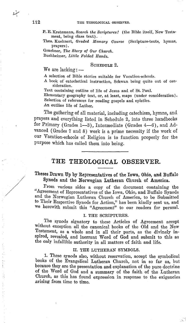- P. E. Kretzmann, *Search the Scriptures!* (the Bible itself, New Testament, being class text) .
- Theo. Kuehnert, *Graded JJfemory Oourse* (Scripture-texts, hymns, prayers).
- Graebner, *The Story of Our Ohurch.*

Buchheimer, *Little Folded Hands*.

## SCHEDULE 2.

We are lacking :  $-$ 

A selection of Bible stories suitable for Vacation-schools.

A book of catechetical instruction, Schwan being quite out of con· sideration.

Text containing outline of life of Jesus and of St. Paul.

Elementary geography text, or, at least, maps (under consideration). Selection of references for reading gospels and epistles.

An outline life of Luther.

The gathering of all material, including catechism, hymns, and prayers and everything listed in Schedule 2, into three handbooks for Primary (Grades 1-3), Intermediate (Grades 4-6), and Advanced ( Grades 7 and 8) work is a prime necessity if the work of our Vacation-schools of Religion is to function properly for the purpose which has called them into being.

# **THE THEOLOGICAL OBSERVER.**

## Theses Drawn Up by Representatives of the Iowa, Ohio, and Buffalo Synods and the Norwegian Lutheran Church of America.

From various sides a copy of the document containing the "Agreement of Representatives of the Iowa, Ohio, and Buffalo Synods and the Norwegian Lutheran Church of America, to be Submitted to Their Respective Synods for Action," has been kindly sent us, and we herewith submit this "Agreement" to our readers for perusal.

## I. THE SCRIPTURES.

The synods signatory to these Articles of Agreement accept without exception all the canonical books of the Old and the New Testament, as a whole and in all their parts, as the divinely inspired, revealed, and inerrant Word of God and submit to this as the only infallible authority in all matters of faith and life.

#### II. THE LUTHERAN SYMBOLS.

1. These synods also, without reservation, accept the symbolical books of the Evangelical Lutheran Church, not in so far as, but because they are the presentation and explanation of the pure doctrine of the Word of God and a summary of the faith of the Lutheran Church, as this has found expression in response to the exigencies .arising from time to time.

 $\overrightarrow{A}$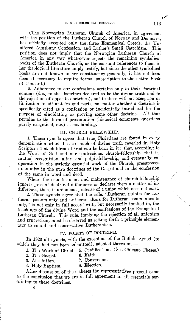(The Norwegian Lutheran Church of America, in agreement with the position of the Lutheran Church of Norway and Denmark has officially accepted only the three Ecumenical Creeds, the Un-<br>altered Augsburg Confession, and Luther's Small Catechism. This altered Augsburg Confession, and Luther's Small Catechism. position does not imply that the Norwegian Lutheran Church of America in any way whatsoever rejects the remaining symbolical books of the Lutheran Church, as the constant references to them in her theological literature amply testify, but since the other symbolical books are not known to her constituency generally, it has not been deemed necessary to require formal subscription to the entire Book of Concord.)

2. Adherence to our confessions pertains only to their doctrinal content *(i.e.,* to the doctrines declared to be the divine truth and to the rejection of opposite doctrines), but to these without exception or limitation in all articles and parts, no matter whether a doctrine is specifically cited as a confession or incidentally introduced for the purpose of elucidating or proving some other doctrine. All that purpose of elucidating or proving some other doctrine. pertains to the form of presentation (historical comments, questions purely exegetical, etc.) is not binding.

#### III. CHURCH FELLOWSHIP.

1. These synods agree that true\_ Christians are found in every denomination which has so much of divine truth revealed in Holy Scripture that children of God can be born in it; that, according to the Word of God and our confessions, church-fellowship, that is, mutual recognition, altar- and pulpit-fellowship, and eventually cooperation in the strictly essential work of the Church, presupposes unanimity in the pure doctrines of the Gospel and in the confession of the same in word and deed.

Where the establishment and maintenance of church-fellowship ignores present doctrinal differences or declares them a matter of indifference, there is unionism, pretense of a union which does not exist.

2. These synods agree that the rule, "Lutheran pulpits for Lutheran pastors only and Lutheran altars for Lutheran communicants only," is not only in full accord with, but necessarily implied in, the teachings of the divine Word and the confessions of the Evangelical Lutheran Church. This rule, implying the rejection of all unionism and syncretism, must be observed as setting forth a principle elementary to sound and conservative Lutheranism.

## IV. POINTS OF DOCTRINE.

In 1920 all synods, with the exception of the Buffalo Synod (to which they had not been submitted), adopted theses on  $-$ 

1. The Work of Christ. 5. Justification. (See Chicago Theses.)<br>2. The Gospel. 6. Faith.

2. The Gospel. 6. Faith.<br>3. Absolution. 7. Conversion. 3. Absolution. 7. Conversion.<br>4. Holy Bantism. 8. Election.

4. Holy Baptism.

After discussion of these theses the representatives present came to the conclusion that we are in full agreement in all essentials pertaining to these doctrines.

8

1 ./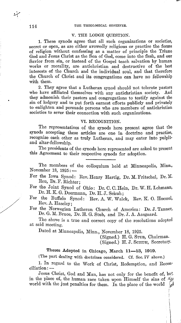## 114 THE THEOLOGICAL OBSERVER.

### V. THE LODGE QUESTION.

1. These synods agree that all such organizations or societies, secret or open, as are either avowedly religious or practise the forms of religion without confessing as a matter of principle the Triune God and Jesus Obrist as the Son of God, come into the flesh, and our Savior from sin, or instead of the Gospel teach salvation by human works or morality, are antichristian and destructive of the best interests of the Church and the individual soul, and that therefore the Church of Obrist and its congregations can have no fellowship with them.

2. They agree that a Lutheran synod should not tolerate pastors have affiliated themselves with any antichristian society. And who have affiliated themselves with any antichristian society. they admonish their pastors and congregations to testify against the sin of lodgery and to put forth earnest efforts publicly and privately to enlighten and persuade persons who are members of antichristian societies to sever their connection with such organizations.

## VI. RECOGNITION.

The representatives of the synods here present agree that the synods accepting these articles are one in doctrine and practise, recognize each other as truly Lutheran, and may enter into pulpitand altar-fellowship.

The presidents of the synods here represented are asked to present this Agreement to their respective synods for adoption.

The members of the colloquium held at Minneapolis, Minn., November 18,  $1925:$   $-$ 

- For the Iowa Synod: Rev. Henry Hartig, Dr. M. Fritsche}, Dr. M. Reu, Dr. F. Richter;
- For the Joint Synod of Ohio: Dr. 0. C. Hein, Dr. W. H. Lehmann, Dr. H. K. G. Doermann, Dr. H. J. Schuh;
- For the Buffalo Synod: Rev. A. W. Walck, Rev. K. O. Hoessel, Rev. A. Haseley;
- For the Norwegian Lutheran Church of America: Dr. J. Tanner, Dr. G. M. Bruce, Dr. H. G. Stub, and Dr. J. A. Aasgaard.

The above is a true and correct copy of the resolutions adopted at said meeting.

Dated at Minneapolis, Minn., November 18, 1925.

(Signed.) H. G. STun, Chairman.

(Signed.) H.J. SCHUH, Secretary.

# Theses Adopted in Chicago, March 11-13, 1919.

(The part dealing with doctrines considered. Cf. Sec. IV above.)

1. In regard to the Work of Christ, Redemption, and Reconciliation: -

Jesus Christ, God and Man, has not only for the benefit of, but, in the place of, the human race taken upon Himself the sins of  $\mathcal{A}_{\mathbb{R}^2}$ world with the just penalties for them. In the place of the world  ${}_{\beta}^{\beta}$ 

/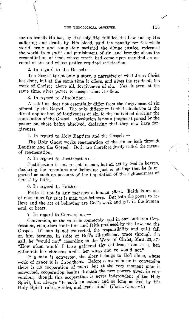for its benefit He has, by His holy life, fulfilled the Law and by His suffering and death, by His blood, paid the penalty for the whole world, truly and completely satisfied the divine justice, redeemed the world from guilt and punishment of sin, and brought about the reconciliation of God, whose wrath had come upon mankind on account of sin and whose justice required satisfaction.

2. In regard to the  $Gosel:$   $-$ 

 $\Big(\begin{smallmatrix} \cdot & \cdot \end{smallmatrix}\Big)$ \  $\mathcal{L}$ 

The Gospel is not only a story, a narrative of what Jesus Christ has done, but at the same time it offers, and gives the result of, the work of Christ; above all, forgiveness of sin. Yea, it even, at the same time, gives power to accept what it offers.

3. In regard to Absolution: $-$ 

Absolution does not essentially differ from the forgiveness of sin offered by the Gospel. The only difference is that absolution is the direct application of forgiveness of sin to the individual desiring the consolation of the Gospel. Absolution is not a judgment passed by the pastor on those being absolved, declaring that they now have forgiveness.

4. In regard to Holy Baptism and the Gospel:  $-$ 

The Holy Ghost works regeneration of the sinner both through Baptism and the Gospel. Both are therefore justly called the means of regeneration.

5. In regard to Justification:  $-$ 

Justification is not an act in man, but an act by God in heaven, declaring the repentant and believing just or stating that he is regarded as such on account of the imputation of the righteousness of Christ by faith.

6. In regard to  $F\text{aith}$ :  $-$ 

Faith is not in any measure a human effort. Faith is an act of man in so far as it is man who believes. But both the power to believe and the act of believing are God's work and gift in the human soul, or heart.

7. In regard to Conversion: -

Conversion, as the word is commonly used in our Lutheran Confessions, comprises contrition and faith produced by the Law and the Gospel. If man is not converted, the responsibility and guilt fall on him because, in spite of God's all-sufficient grace through the call, he "would not" according to the Word of Christ, Matt. 23, 37: "How often would I have gathered thy children, even as a hen gathereth her chickens under her wing, and ye would not."

If a man is converted, the glory belongs to God alone, whose work of grace it is throughout. Before conversion or in conversion there is no cooperation of man; but at the very moment man is converted, cooperation begins through the new powers given in conversion; though this cooperation is never independent of the Holy Spirit, but always "to such an extent and so long as God by His Holy Spirit rules, guides, and leads him." *(Form. Concord.)* 

1./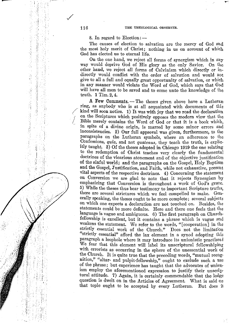8. In regard to Election: $-$ 

The causes of election to salvation are the mercy of God and the most holy merit of Christ; nothing in us on account of which God has elected us to eternal life.

On the one hand, we reject all forms of synergism which in any way would deprive God of His glory as the only Savior. On the other hand, we reject all forms of Calvinism which directly or indirectly would conflict with the order of salvation and would not give to all a full and equally great opportunity of salvation, or which in any manner would violate the Word of God, which says that God will have all men to be saved and to come unto the knowledge of the truth. **1** Tim. 2, 4.

A Few Comments. - The theses given above have a Lutheran ring, as anybody who is at all acquainted with documents of this kind will soon notice. 1) It was with joy that we read the declaration on the Scriptures which positively opposes the modern view that the / Bible merely contains the Word of God or that it is a book which, - in spite of a divine origin, is marred by some minor errors and inconsistencies. 2) Our full approval was given, furthermore, to the paragraphs on the Lutheran symbols, where an adherence to the Confessions, *quia,* and not *quatenus,* they teach the truth, is explicitly taught. 3) Of the theses adopted in Chicago 1919 the one relating to the redemption of Christ teaches very clearly the fundamental doctrines of the vicarious atonement and of the objective justification of the sinful world; and the paragraphs on the Gospel, Holy Baptism and the Gospel, Justification, and Faith, while not exhaustive, present vital aspects of the respective doctrines. 4) Concerning the statement on Conversion we are glad to note that it rejects Synergism by emphasizing that Conversion is throughout a work of God's grace. 5) While the theses thus bear testimony to important Scripture truths, there are several strictures which we feel compelled to make. Generally speaking, the theses ought to be more complete; several subjects on which one expects a declaration are not touched on. Besides, the statements could be more definite. Here and there one feels that the language is vague and ambiguous. 6) The first paragraph on Churchfellowship is excellent, but it contains a phrase which is vague and weakens the statement. We refer to the words, "[cooperation] in the strictly essential work of the Church." Does not the limitation "strictly essential" afford the lax element in a synod adopting this paragraph a loophole where it may introduce its unionistic practises i We fear that this element will label its unscriptural fellowshiping with errorists as occurring in the sphere of the unessential work of the Church. It is quite true that the preceding words, "mutual recognition," "altar- and pulpit-fellowship," ought to exclude such a use of the phrase; but experience has taught that the advocates of unionism employ the aforementioned expression to justify their unscriptural attitude. 7) Again, it is certainly commendable that the lodge question is dwelt on in the Articles of Agreement. What is said or that topic ought to be accepted by every Lutheran. But does it

/

 $\mathbb{R}^+$ 

i' '1

每番

--

-- '

'i ! : I (:, '! I' I ''' I

I  $\sim$ 8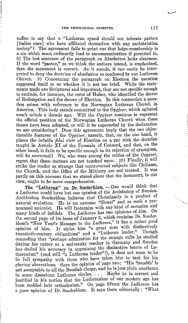suffice to say that a "Lutheran synod should not tolerate *pastors*  [italics ours] who have affiliated themselves with any antichristian society"? The agreement fails to point out that lodge-membership is a sin which must ordinarily lead to excommunication if persisted in. 8) The last sentence of the paragraph on Absolution lacks clearness. If the word "pastor," as we think the authors intend, is emphasized, then the statement is correct. As it stands, it can easily be interpreted to deny the doctrine of absolution as confessed by our Lutheran Church. 9) Concerning the paragraph on Election the question 9) Concerning the paragraph on Election the question suggested itself to us whether it is not too brief. While the statements made are Scriptural and important, they are not specific enough to exclude, for instance, the error of Huber, who identified the decree of Redemption and the decree of Election. In this connection a question arises with reference to the Norwegian Lutheran Church in America. This body stands committed to the *Opgjoer,* which agitated men's minds a decade ago. Will the *Opgjoer* continue to represent the official position of the Norwegian Lutheran Church when these theses have been adopted, or will it be superseded by the declaration we are considering? Does this agreement imply that the two objectionable features of the *Opgjoer,* namely, that, on the one hand, it places the *intuitu fidei* view of Election on a par with the doctrine taught in Article XI of the Formula of Concord, and that, on the other hand, it fails to be specific enough in its rejection of synergism, will be corrected? We, who were among the critics of the *Opgjoer,*  regret that these matters are not touched upon. 10) Finally, it will strike the reader as strange that controverted subjects like Chiliasm, the Church, and the Office of the Ministry are not treated. It was partly on this account that we stated above that the document, in our view, ought to be more comprehensive.

The "Lutheran" on Dr. Soederblom. - One would think that a Lutheran could have but one opinion of the Archbishop of Sweden. Archbishop Soederblom believes that Christianity is a product of natural evolution. He is an extreme "liberal'' and as such a pronounced unionist. He will fraternize with any kind of sectarian and many kinds of infidels. The *Lutheran* has two opinions of him. On the second page of its issue of January 6, which contains Dr. Soederblom's "New Year's Message to the *Lutheran,*" it has a rather good opinion of him. It styles him "a great man with distinctively<br>transient continues a linearly and a "Lutheran leader." Though twentieth-century obligations" and a "Lutheran leader." conceding that "perhaps admiration for the strange cults he studied during his career as a university teacher in Germany and Sweden has dulled his accuracy in appraising the distinctive tenets of Lutheranism" (and still "a Lutheran leader"!), it does not seem to be in foll sympathy with those who have taken him to task for his glaring aberrations. Says the opinion of page two: "His 'breadth' is not acceptable to all the Swedish clergy, and he 1s Just plam anathema in some American Lutheran circles. . . . Maybe he is correct and justified in his notion that the Lutheranism of our modern age has been molded into orthodoxism." On page fifteen the *Lutheran* has a poor opinion of Dr. Soederblom. It says there editorially: "What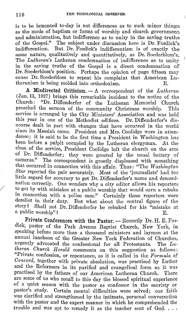is to be lamented to-day is not differences as to such minor things as the mode of baptism or forms of worship and church government and administration, but indifference as to unity in the saving truths of the Gospel." The subject under discussion here is Dr. Fosdick's But Dr. Fosdick's indifferentism is of exactly the same nature, qualitatively and quantitatively, as Dr. Soederblom's. The *Lutheran's* Lutheran condemnation of indifference as to unityin the saving truths of the Gospel is a direct condemnation of Dr. Soederblom's position. Perhaps the opinion of page fifteen may cause Dr. Soederblom to repeat his complaint that American Lutheranism is being molded into orthodoxism.

**A Misdirected Criticism.** - A correspondent of the *Lutheran*  (Jan. 13, 1927) brings this remarkable incident to the notice of the "Dr. Diffenderfer of the Lutheran Memorial Church.<br>the sermon of the community Christmas worship. This. preached the sermon of the community Christmas worship. service is arranged by the City Ministers' Association and was held. this year in one of the Methodist edifices. Dr. Diffenderfer's discourse dealt in part with changes that have occurred in the world. since its Messiah came. President and Mrs. Coolidge were in attendance; it is said to be the first time a President in Washington has been before a pulpit occupied by the Lutheran clergyman. At the close of the service, President Coolidge left the church on the arm of Dr. Diffenderfer; they were greeted by the usual battery of cameras." The correspondent is greatly displeased with something that occurred in connection with this affair. Thus: "The *Washington Star* reported the pair accurately. Most of the 'journalists' had too little regard for accuracy to get Dr. Diffenderfer's name and denomination correctly. One wonders why a city editor allows his reporters to get by with mistakes at a public worship that would earn a rebuke in connection with a police case." Certainly these reporters were derelict in their duty. But what about the central figure of the story? Shall not Dr. Diffenderfer be rebuked for his "mistake at a public worship"?

Private Conferences with the Pastor. - Recently Dr. H. E. Fosdick, pastor of the Park Avenue Baptist Church, New York, in speaking before more than a thousand ministers and laymen at the annual luncheon of the Greater New York Federation of Churches, urgently advocated the confessional for all Protestants. The *Lutheran Church II erald* comments on this suggestion as follows: "Private confession, or repentance, as it is called in the *Formula of Concord,* together with private absolution, was practised by Luther and the Reformers in its purified and evangelical form as it was practised by the fathers of our American Lutheran Church. There are some of us who recall to this day the blessed spiritual experience -0f a quiet season with the pastor as confessor in the sacristy or pastor's study. Certain mental difficulties were solved; our faith was clarified and strengthened by the intimate, personal conversation with the pastor and the expert manner in which he comprehended the trouble and was apt to remedy it as the teacher sent of God.

/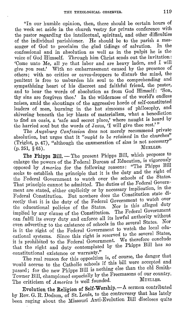"In our humble opinion, then, there should be certain hours of the week set aside in the church vestry for private conference with the pastor regarding the intellectual, spiritual, and other difficulties of the individual parishioner. He should be to the parish a messenger of God to proclaim the glad tidings of salvation. confessional and in absolution as well as in the pulpit he is the voice of God Himself. Through him Christ sends out the invitation: 'Come unto Me, all ye that labor and are heavy laden, and I will give you rest.' With no embarrassment caused by the presence of others; with no critics or eaves-droppers to disturb the mind, the penitent is free to unburden his soul to the comprehending and sympathizing heart of his discreet and faithful friend, the pastor, and to hear the words of absolution as from God Himself: 'Son, thy sins are forgiven thee.' In the wilderness of the world's endless noises, amid the shoutings of the aggressive horde of self-constituted leaders of men, burning in the hot simooms of philosophy, and shivering beneath the icy blasts of materialism, what a benediction to find an oasis, a 'safe and secret place,' where naught is heard by the harried soul but the words of Jesus, 'I will give thee rest.'"

The *Augsburg Confession* does not merely recommend private absolution, but urges that it *"ought to be retained* in the churches" (Triglot, p. 47), "although the enumeration of sins is not necessary"<br>(p. 251, 8.65)<br> $M$  $(p. 251, \S 65).$ 

The Phipps Bill. - The present Phipps Bill, which proposes to enlarge the powers of the Federal Bureau of Education, is vigorously opposed by *America* for the following reasons: "The Phipps Bill seeks to establish the principle that it is the duty and the right of the Federal Government to watch over the schools of the States. That principle cannot be admitted. The duties of the Federal Government are stated, either explicitly or by necessary implication, in the Federal Constitution. But nowhere does the Constitution state directly that it is the duty of the Federal Government to watch over the educational policies of the States. Nor is this alleged duty implied by any clause of the Constitution. The Federal Government can fulfil its every duty and enforce all its lawful authority without even adverting to the existence of schools in the several States. is it the right of the Federal Government to watch the local educational systems. Since this right is reserved to the several States, it is prohibited to the Federal Government. We therefore conclude that the right and duty contemplated by the Phipps Bill has no

constitutional existence or warranty."<br>The real reason for this opposition is, of course, the danger that would accrue to the Catholic schools if this bill were accepted and passed; for the new Phipps Bill is nothing else than the old Smith-Towner Bill, championed especially by the Freemasons of our country. The criticism of  $\hat{A}$ *merica* is well founded.

Evolution the Religion of Self-Worship. $-A$  sermon contributed by Rev. G. R. Dodson, of St. Louis, to the controversy that has lately been raging about the Missouri Anti-Evolution Bill discloses quite